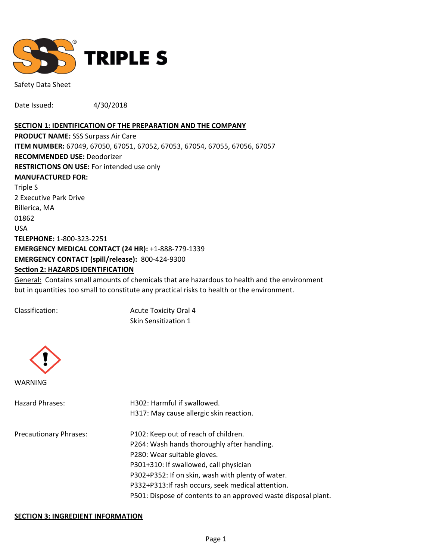

Safety Data Sheet

Date Issued: 4/30/2018

#### **SECTION 1: IDENTIFICATION OF THE PREPARATION AND THE COMPANY**

**PRODUCT NAME:** SSS Surpass Air Care **ITEM NUMBER:** 67049, 67050, 67051, 67052, 67053, 67054, 67055, 67056, 67057 **RECOMMENDED USE:** Deodorizer **RESTRICTIONS ON USE:** For intended use only **MANUFACTURED FOR:** Triple S 2 Executive Park Drive Billerica, MA 01862 USA **TELEPHONE:** 1-800-323-2251 **EMERGENCY MEDICAL CONTACT (24 HR):** +1-888-779-1339 **EMERGENCY CONTACT (spill/release):** 800-424-9300 **Section 2: HAZARDS IDENTIFICATION**

General: Contains small amounts of chemicals that are hazardous to health and the environment but in quantities too small to constitute any practical risks to health or the environment.

Classification: Acute Toxicity Oral 4 Skin Sensitization 1



| Hazard Phrases:               | H302: Harmful if swallowed.                                    |  |  |
|-------------------------------|----------------------------------------------------------------|--|--|
|                               | H317: May cause allergic skin reaction.                        |  |  |
| <b>Precautionary Phrases:</b> | P102: Keep out of reach of children.                           |  |  |
|                               | P264: Wash hands thoroughly after handling.                    |  |  |
|                               | P280: Wear suitable gloves.                                    |  |  |
|                               | P301+310: If swallowed, call physician                         |  |  |
|                               | P302+P352: If on skin, wash with plenty of water.              |  |  |
|                               | P332+P313:If rash occurs, seek medical attention.              |  |  |
|                               | P501: Dispose of contents to an approved waste disposal plant. |  |  |
|                               |                                                                |  |  |

### **SECTION 3: INGREDIENT INFORMATION**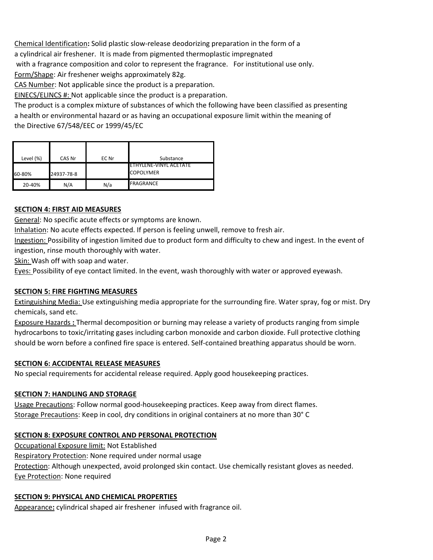Chemical Identification**:** Solid plastic slow-release deodorizing preparation in the form of a a cylindrical air freshener. It is made from pigmented thermoplastic impregnated with a fragrance composition and color to represent the fragrance. For institutional use only. Form/Shape: Air freshener weighs approximately 82g.

CAS Number: Not applicable since the product is a preparation.

EINECS/ELINCS #: Not applicable since the product is a preparation.

The product is a complex mixture of substances of which the following have been classified as presenting a health or environmental hazard or as having an occupational exposure limit within the meaning of the Directive 67/548/EEC or 1999/45/EC

| Level (%) | CAS Nr     | EC Nr | Substance                                   |
|-----------|------------|-------|---------------------------------------------|
| 60-80%    | 24937-78-8 |       | IETHYLENE-VINYL ACETATE<br><b>COPOLYMER</b> |
| 20-40%    | N/A        | N/a   | <b>FRAGRANCE</b>                            |

# **SECTION 4: FIRST AID MEASURES**

General: No specific acute effects or symptoms are known.

Inhalation: No acute effects expected. If person is feeling unwell, remove to fresh air.

Ingestion: Possibility of ingestion limited due to product form and difficulty to chew and ingest. In the event of ingestion, rinse mouth thoroughly with water.

Skin: Wash off with soap and water.

Eyes: Possibility of eye contact limited. In the event, wash thoroughly with water or approved eyewash.

### **SECTION 5: FIRE FIGHTING MEASURES**

Extinguishing Media: Use extinguishing media appropriate for the surrounding fire. Water spray, fog or mist. Dry chemicals, sand etc.

Exposure Hazards **:** Thermal decomposition or burning may release a variety of products ranging from simple hydrocarbons to toxic/irritating gases including carbon monoxide and carbon dioxide. Full protective clothing should be worn before a confined fire space is entered. Self-contained breathing apparatus should be worn.

### **SECTION 6: ACCIDENTAL RELEASE MEASURES**

No special requirements for accidental release required. Apply good housekeeping practices.

### **SECTION 7: HANDLING AND STORAGE**

Usage Precautions: Follow normal good-housekeeping practices. Keep away from direct flames. Storage Precautions: Keep in cool, dry conditions in original containers at no more than 30° C

# **SECTION 8: EXPOSURE CONTROL AND PERSONAL PROTECTION**

Occupational Exposure limit: Not Established Respiratory Protection: None required under normal usage Protection: Although unexpected, avoid prolonged skin contact. Use chemically resistant gloves as needed. Eye Protection: None required

### **SECTION 9: PHYSICAL AND CHEMICAL PROPERTIES**

Appearance**:** cylindrical shaped air freshener infused with fragrance oil.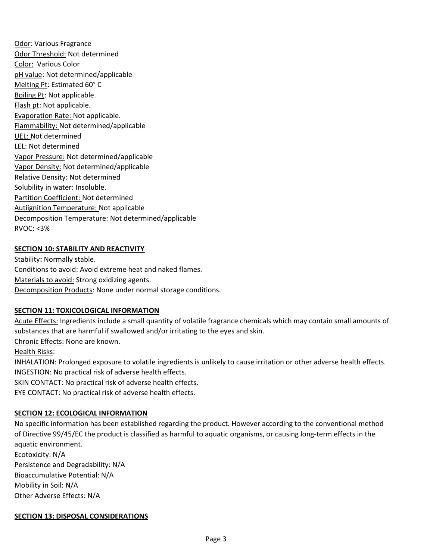Odor: Various Fragrance Odor Threshold: Not determined Color: Various Color pH value: Not determined/applicable Melting Pt: Estimated 60° C Boiling Pt: Not applicable. Flash pt: Not applicable. Evaporation Rate: Not applicable. Flammability: Not determined/applicable UEL: Not determined LEL: Not determined Vapor Pressure: Not determined/applicable Vapor Density: Not determined/applicable Relative Density: Not determined Solubility in water: Insoluble. Partition Coefficient: Not determined Autiignition Temperature: Not applicable Decomposition Temperature: Not determined/applicable RVOC: <3%

# **SECTION 10: STABILITY AND REACTIVITY**

Stability**:** Normally stable. Conditions to avoid: Avoid extreme heat and naked flames. Materials to avoid: Strong oxidizing agents. Decomposition Products: None under normal storage conditions.

### **SECTION 11: TOXICOLOGICAL INFORMATION**

Acute Effects: Ingredients include a small quantity of volatile fragrance chemicals which may contain small amounts of substances that are harmful if swallowed and/or irritating to the eyes and skin.

Chronic Effects: None are known.

### Health Risks:

INHALATION: Prolonged exposure to volatile ingredients is unlikely to cause irritation or other adverse health effects. INGESTION: No practical risk of adverse health effects.

SKIN CONTACT: No practical risk of adverse health effects.

EYE CONTACT: No practical risk of adverse health effects.

### **SECTION 12: ECOLOGICAL INFORMATION**

No specific information has been established regarding the product. However according to the conventional method of Directive 99/45/EC the product is classified as harmful to aquatic organisms, or causing long-term effects in the aquatic environment.

Ecotoxicity: N/A Persistence and Degradability: N/A Bioaccumulative Potential: N/A Mobility in Soil: N/A Other Adverse Effects: N/A

### **SECTION 13: DISPOSAL CONSIDERATIONS**